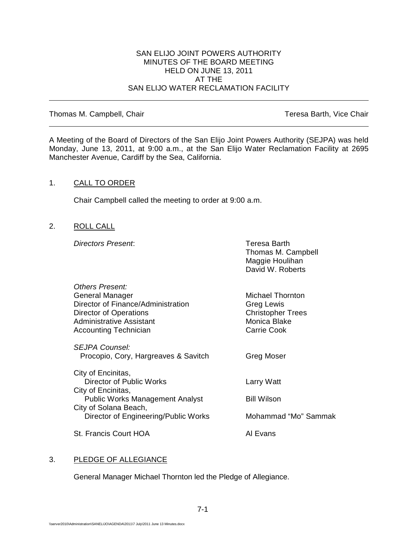#### SAN ELIJO JOINT POWERS AUTHORITY MINUTES OF THE BOARD MEETING HELD ON JUNE 13, 2011 AT THE SAN ELIJO WATER RECLAMATION FACILITY

Thomas M. Campbell, Chair Thomas M. Campbell, Chair

A Meeting of the Board of Directors of the San Elijo Joint Powers Authority (SEJPA) was held Monday, June 13, 2011, at 9:00 a.m., at the San Elijo Water Reclamation Facility at 2695 Manchester Avenue, Cardiff by the Sea, California.

#### 1. CALL TO ORDER

Chair Campbell called the meeting to order at 9:00 a.m.

2. ROLL CALL

**Directors Present:** Teresa Barth

Thomas M. Campbell Maggie Houlihan David W. Roberts

| Others Present:                        |                          |
|----------------------------------------|--------------------------|
| <b>General Manager</b>                 | Michael Thornton         |
| Director of Finance/Administration     | Greg Lewis               |
| Director of Operations                 | <b>Christopher Trees</b> |
| Administrative Assistant               | Monica Blake             |
| <b>Accounting Technician</b>           | <b>Carrie Cook</b>       |
| SEJPA Counsel:                         |                          |
| Procopio, Cory, Hargreaves & Savitch   | Greg Moser               |
| City of Encinitas,                     |                          |
| Director of Public Works               | Larry Watt               |
| City of Encinitas,                     |                          |
| <b>Public Works Management Analyst</b> | <b>Bill Wilson</b>       |
| City of Solana Beach,                  |                          |
| Director of Engineering/Public Works   | Mohammad "Mo" Sammak     |
| St. Francis Court HOA                  | Al Evans                 |
|                                        |                          |

# 3. PLEDGE OF ALLEGIANCE

General Manager Michael Thornton led the Pledge of Allegiance.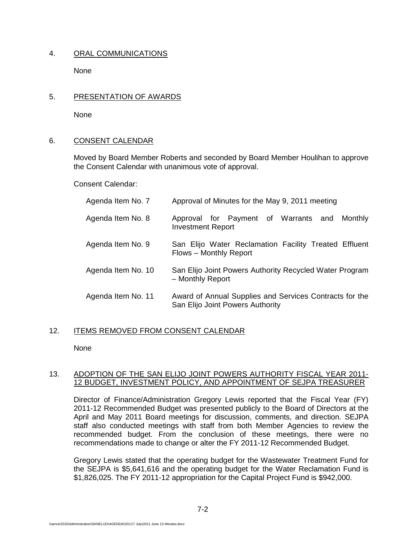## 4. ORAL COMMUNICATIONS

**None** 

## 5. PRESENTATION OF AWARDS

None

### 6. CONSENT CALENDAR

Moved by Board Member Roberts and seconded by Board Member Houlihan to approve the Consent Calendar with unanimous vote of approval.

Consent Calendar:

| Agenda Item No. 7  | Approval of Minutes for the May 9, 2011 meeting                                             |
|--------------------|---------------------------------------------------------------------------------------------|
| Agenda Item No. 8  | Approval for Payment of Warrants and<br>Monthly<br><b>Investment Report</b>                 |
| Agenda Item No. 9  | San Elijo Water Reclamation Facility Treated Effluent<br>Flows – Monthly Report             |
| Agenda Item No. 10 | San Elijo Joint Powers Authority Recycled Water Program<br>- Monthly Report                 |
| Agenda Item No. 11 | Award of Annual Supplies and Services Contracts for the<br>San Elijo Joint Powers Authority |

# 12. ITEMS REMOVED FROM CONSENT CALENDAR

None

### 13. ADOPTION OF THE SAN ELIJO JOINT POWERS AUTHORITY FISCAL YEAR 2011- 12 BUDGET, INVESTMENT POLICY, AND APPOINTMENT OF SEJPA TREASURER

Director of Finance/Administration Gregory Lewis reported that the Fiscal Year (FY) 2011-12 Recommended Budget was presented publicly to the Board of Directors at the April and May 2011 Board meetings for discussion, comments, and direction. SEJPA staff also conducted meetings with staff from both Member Agencies to review the recommended budget. From the conclusion of these meetings, there were no recommendations made to change or alter the FY 2011-12 Recommended Budget.

Gregory Lewis stated that the operating budget for the Wastewater Treatment Fund for the SEJPA is \$5,641,616 and the operating budget for the Water Reclamation Fund is \$1,826,025. The FY 2011-12 appropriation for the Capital Project Fund is \$942,000.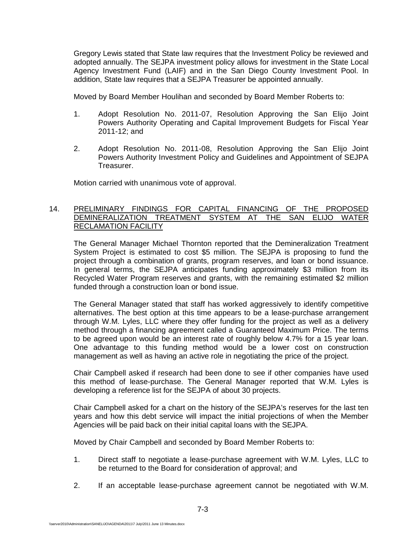Gregory Lewis stated that State law requires that the Investment Policy be reviewed and adopted annually. The SEJPA investment policy allows for investment in the State Local Agency Investment Fund (LAIF) and in the San Diego County Investment Pool. In addition, State law requires that a SEJPA Treasurer be appointed annually.

Moved by Board Member Houlihan and seconded by Board Member Roberts to:

- 1. Adopt Resolution No. 2011-07, Resolution Approving the San Elijo Joint Powers Authority Operating and Capital Improvement Budgets for Fiscal Year 2011-12; and
- 2. Adopt Resolution No. 2011-08, Resolution Approving the San Elijo Joint Powers Authority Investment Policy and Guidelines and Appointment of SEJPA Treasurer.

Motion carried with unanimous vote of approval.

### 14. PRELIMINARY FINDINGS FOR CAPITAL FINANCING OF THE PROPOSED DEMINERALIZATION TREATMENT SYSTEM AT THE SAN ELIJO WATER RECLAMATION FACILITY

The General Manager Michael Thornton reported that the Demineralization Treatment System Project is estimated to cost \$5 million. The SEJPA is proposing to fund the project through a combination of grants, program reserves, and loan or bond issuance. In general terms, the SEJPA anticipates funding approximately \$3 million from its Recycled Water Program reserves and grants, with the remaining estimated \$2 million funded through a construction loan or bond issue.

The General Manager stated that staff has worked aggressively to identify competitive alternatives. The best option at this time appears to be a lease-purchase arrangement through W.M. Lyles, LLC where they offer funding for the project as well as a delivery method through a financing agreement called a Guaranteed Maximum Price. The terms to be agreed upon would be an interest rate of roughly below 4.7% for a 15 year loan. One advantage to this funding method would be a lower cost on construction management as well as having an active role in negotiating the price of the project.

Chair Campbell asked if research had been done to see if other companies have used this method of lease-purchase. The General Manager reported that W.M. Lyles is developing a reference list for the SEJPA of about 30 projects.

Chair Campbell asked for a chart on the history of the SEJPA's reserves for the last ten years and how this debt service will impact the initial projections of when the Member Agencies will be paid back on their initial capital loans with the SEJPA.

Moved by Chair Campbell and seconded by Board Member Roberts to:

- 1. Direct staff to negotiate a lease-purchase agreement with W.M. Lyles, LLC to be returned to the Board for consideration of approval; and
- 2. If an acceptable lease-purchase agreement cannot be negotiated with W.M.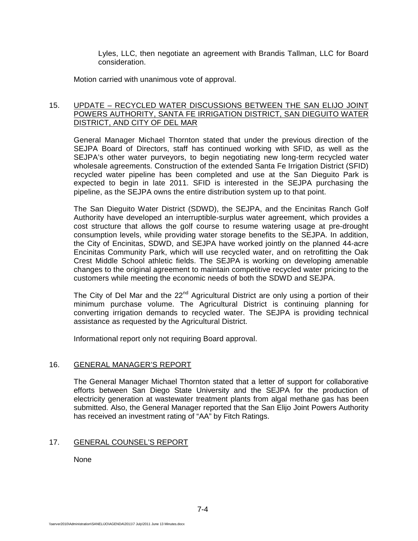Lyles, LLC, then negotiate an agreement with Brandis Tallman, LLC for Board consideration.

Motion carried with unanimous vote of approval.

## 15. UPDATE – RECYCLED WATER DISCUSSIONS BETWEEN THE SAN ELIJO JOINT POWERS AUTHORITY, SANTA FE IRRIGATION DISTRICT, SAN DIEGUITO WATER DISTRICT, AND CITY OF DEL MAR

General Manager Michael Thornton stated that under the previous direction of the SEJPA Board of Directors, staff has continued working with SFID, as well as the SEJPA's other water purveyors, to begin negotiating new long-term recycled water wholesale agreements. Construction of the extended Santa Fe Irrigation District (SFID) recycled water pipeline has been completed and use at the San Dieguito Park is expected to begin in late 2011. SFID is interested in the SEJPA purchasing the pipeline, as the SEJPA owns the entire distribution system up to that point.

The San Dieguito Water District (SDWD), the SEJPA, and the Encinitas Ranch Golf Authority have developed an interruptible-surplus water agreement, which provides a cost structure that allows the golf course to resume watering usage at pre-drought consumption levels, while providing water storage benefits to the SEJPA. In addition, the City of Encinitas, SDWD, and SEJPA have worked jointly on the planned 44-acre Encinitas Community Park, which will use recycled water, and on retrofitting the Oak Crest Middle School athletic fields. The SEJPA is working on developing amenable changes to the original agreement to maintain competitive recycled water pricing to the customers while meeting the economic needs of both the SDWD and SEJPA.

The City of Del Mar and the  $22<sup>nd</sup>$  Agricultural District are only using a portion of their minimum purchase volume. The Agricultural District is continuing planning for converting irrigation demands to recycled water. The SEJPA is providing technical assistance as requested by the Agricultural District.

Informational report only not requiring Board approval.

# 16. GENERAL MANAGER'S REPORT

The General Manager Michael Thornton stated that a letter of support for collaborative efforts between San Diego State University and the SEJPA for the production of electricity generation at wastewater treatment plants from algal methane gas has been submitted. Also, the General Manager reported that the San Elijo Joint Powers Authority has received an investment rating of "AA" by Fitch Ratings.

# 17. GENERAL COUNSEL'S REPORT

None